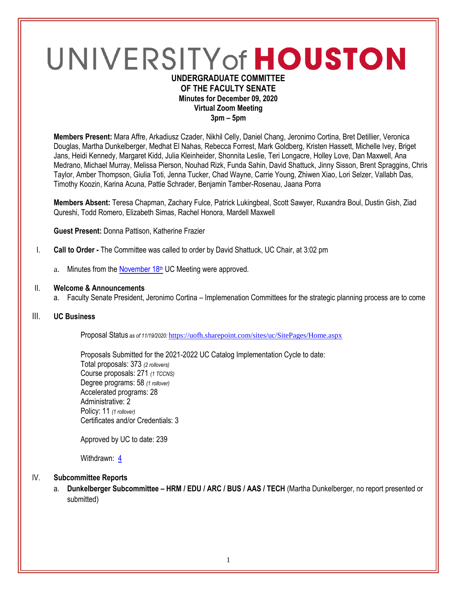# UNIVERSITY of HOUSTON **UNDERGRADUATE COMMITTEE**

## **OF THE FACULTY SENATE Minutes for December 09, 2020 Virtual Zoom Meeting 3pm – 5pm**

**Members Present:** Mara Affre, Arkadiusz Czader, Nikhil Celly, Daniel Chang, Jeronimo Cortina, Bret Detillier, Veronica Douglas, Martha Dunkelberger, Medhat El Nahas, Rebecca Forrest, Mark Goldberg, Kristen Hassett, Michelle Ivey, Briget Jans, Heidi Kennedy, Margaret Kidd, Julia Kleinheider, Shonnita Leslie, Teri Longacre, Holley Love, Dan Maxwell, Ana Medrano, Michael Murray, Melissa Pierson, Nouhad Rizk, Funda Sahin, David Shattuck, Jinny Sisson, Brent Spraggins, Chris Taylor, Amber Thompson, Giulia Toti, Jenna Tucker, Chad Wayne, Carrie Young, Zhiwen Xiao, Lori Selzer, Vallabh Das, Timothy Koozin, Karina Acuna, Pattie Schrader, Benjamin Tamber-Rosenau, Jaana Porra

**Members Absent:** Teresa Chapman, Zachary Fulce, Patrick Lukingbeal, Scott Sawyer, Ruxandra Boul, Dustin Gish, Ziad Qureshi, Todd Romero, Elizabeth Simas, Rachel Honora, Mardell Maxwell

**Guest Present:** Donna Pattison, Katherine Frazier

- I. **Call to Order -** The Committee was called to order by David Shattuck, UC Chair, at 3:02 pm
	- a. Minutes from the **[November 18](https://uh.edu/undergraduate-committee/meetings/agendas-minutes/ay-2021/m_2020_1118.pdf)th** UC Meeting were approved.

#### II. **Welcome & Announcements**

a. Faculty Senate President, Jeronimo Cortina – Implemenation Committees for the strategic planning process are to come

#### III. **UC Business**

Proposal Status *as of 11/19/2020:* <https://uofh.sharepoint.com/sites/uc/SitePages/Home.aspx>

Proposals Submitted for the 2021-2022 UC Catalog Implementation Cycle to date: Total proposals: 373 *(2 rollovers)* Course proposals: 271 *(1 TCCNS)* Degree programs: 58 *(1 rollover)* Accelerated programs: 28 Administrative: 2 Policy: 11 *(1 rollover)* Certificates and/or Credentials: 3

Approved by UC to date: 239

Withdrawn: [4](https://uofh.sharepoint.com/sites/uc/Lists/ProposalSubmissionAndTracking/Submitted%20Proposals%20%20Current%20Year%20%20Grouped.aspx?FilterField1=Proposal%5Fx0020%5FStatus&FilterValue1=Withdrawn%20%2D%20See%20Proposal%20Notes&FilterType1=Choice&viewid=3e8f7d7c%2Dd8a4%2D43cd%2D8f0e%2D60cc2ac81fe6)

## IV. **Subcommittee Reports**

a. **Dunkelberger Subcommittee – HRM / EDU / ARC / BUS / AAS / TECH** (Martha Dunkelberger, no report presented or submitted)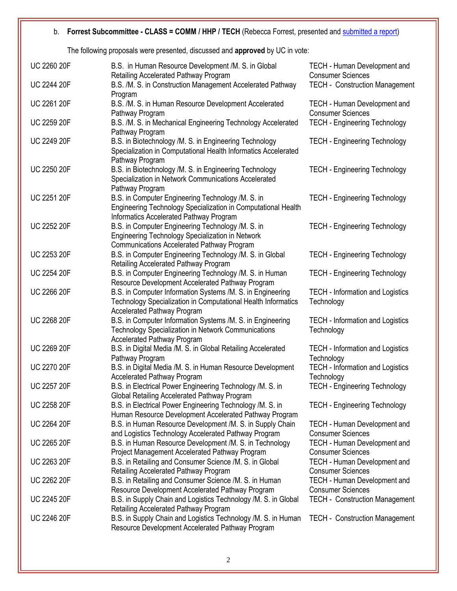## b. **Forrest Subcommittee - CLASS = COMM / HHP / TECH** (Rebecca Forrest, presented and [submitted a report\)](https://uofh.sharepoint.com/:w:/s/uc/admin/EVdVE8BP2R9Bng9eGbbnR4MBlBqWGVRdTZ3wXqZ23UoVyA?e=ng2Uke)

The following proposals were presented, discussed and **approved** by UC in vote:

| <b>UC 2260 20F</b> | B.S. in Human Resource Development /M. S. in Global<br>Retailing Accelerated Pathway Program                                                                  | TECH - Human Development and<br><b>Consumer Sciences</b>        |
|--------------------|---------------------------------------------------------------------------------------------------------------------------------------------------------------|-----------------------------------------------------------------|
| <b>UC 2244 20F</b> | B.S. /M. S. in Construction Management Accelerated Pathway<br>Program                                                                                         | <b>TECH - Construction Management</b>                           |
| <b>UC 2261 20F</b> | B.S. /M. S. in Human Resource Development Accelerated<br>Pathway Program                                                                                      | TECH - Human Development and<br><b>Consumer Sciences</b>        |
| <b>UC 2259 20F</b> | B.S. /M. S. in Mechanical Engineering Technology Accelerated<br>Pathway Program                                                                               | <b>TECH - Engineering Technology</b>                            |
| <b>UC 2249 20F</b> | B.S. in Biotechnology /M. S. in Engineering Technology<br>Specialization in Computational Health Informatics Accelerated<br>Pathway Program                   | <b>TECH - Engineering Technology</b>                            |
| UC 2250 20F        | B.S. in Biotechnology /M. S. in Engineering Technology<br>Specialization in Network Communications Accelerated<br>Pathway Program                             | <b>TECH - Engineering Technology</b>                            |
| <b>UC 2251 20F</b> | B.S. in Computer Engineering Technology /M. S. in<br>Engineering Technology Specialization in Computational Health<br>Informatics Accelerated Pathway Program | <b>TECH - Engineering Technology</b>                            |
| <b>UC 2252 20F</b> | B.S. in Computer Engineering Technology /M. S. in<br>Engineering Technology Specialization in Network<br>Communications Accelerated Pathway Program           | <b>TECH - Engineering Technology</b>                            |
| UC 2253 20F        | B.S. in Computer Engineering Technology /M. S. in Global<br>Retailing Accelerated Pathway Program                                                             | <b>TECH - Engineering Technology</b>                            |
| <b>UC 2254 20F</b> | B.S. in Computer Engineering Technology /M. S. in Human<br>Resource Development Accelerated Pathway Program                                                   | <b>TECH - Engineering Technology</b>                            |
| <b>UC 2266 20F</b> | B.S. in Computer Information Systems /M. S. in Engineering<br>Technology Specialization in Computational Health Informatics<br>Accelerated Pathway Program    | <b>TECH - Information and Logistics</b><br>Technology           |
| <b>UC 2268 20F</b> | B.S. in Computer Information Systems /M. S. in Engineering<br>Technology Specialization in Network Communications<br><b>Accelerated Pathway Program</b>       | <b>TECH - Information and Logistics</b><br>Technology           |
| <b>UC 2269 20F</b> | B.S. in Digital Media /M. S. in Global Retailing Accelerated<br>Pathway Program                                                                               | <b>TECH - Information and Logistics</b><br>Technology           |
| <b>UC 2270 20F</b> | B.S. in Digital Media /M. S. in Human Resource Development<br><b>Accelerated Pathway Program</b>                                                              | <b>TECH - Information and Logistics</b><br>Technology           |
| <b>UC 2257 20F</b> | B.S. in Electrical Power Engineering Technology /M. S. in<br>Global Retailing Accelerated Pathway Program                                                     | <b>TECH - Engineering Technology</b>                            |
| <b>UC 2258 20F</b> | B.S. in Electrical Power Engineering Technology /M. S. in<br>Human Resource Development Accelerated Pathway Program                                           | <b>TECH - Engineering Technology</b>                            |
| <b>UC 2264 20F</b> | B.S. in Human Resource Development /M. S. in Supply Chain<br>and Logistics Technology Accelerated Pathway Program                                             | <b>TECH - Human Development and</b><br><b>Consumer Sciences</b> |
| <b>UC 2265 20F</b> | B.S. in Human Resource Development /M. S. in Technology<br>Project Management Accelerated Pathway Program                                                     | TECH - Human Development and<br><b>Consumer Sciences</b>        |
| <b>UC 2263 20F</b> | B.S. in Retailing and Consumer Science /M. S. in Global<br>Retailing Accelerated Pathway Program                                                              | <b>TECH - Human Development and</b><br><b>Consumer Sciences</b> |
| <b>UC 2262 20F</b> | B.S. in Retailing and Consumer Science /M. S. in Human<br>Resource Development Accelerated Pathway Program                                                    | TECH - Human Development and<br><b>Consumer Sciences</b>        |
| <b>UC 2245 20F</b> | B.S. in Supply Chain and Logistics Technology /M. S. in Global<br>Retailing Accelerated Pathway Program                                                       | <b>TECH - Construction Management</b>                           |
| <b>UC 2246 20F</b> | B.S. in Supply Chain and Logistics Technology /M. S. in Human<br>Resource Development Accelerated Pathway Program                                             | <b>TECH - Construction Management</b>                           |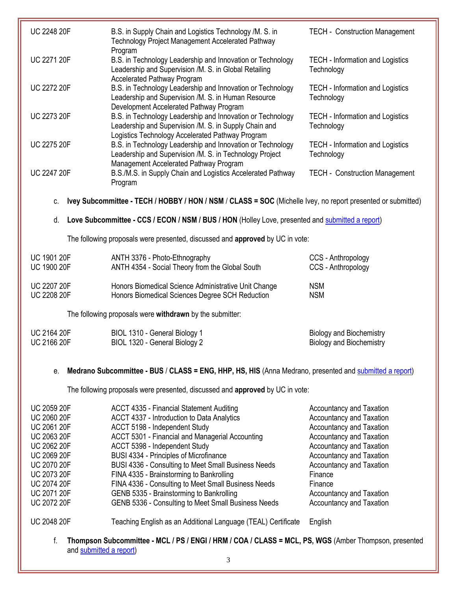| <b>UC 2248 20F</b> | B.S. in Supply Chain and Logistics Technology /M. S. in<br>Technology Project Management Accelerated Pathway<br>Program                                                 | <b>TECH - Construction Management</b>                 |
|--------------------|-------------------------------------------------------------------------------------------------------------------------------------------------------------------------|-------------------------------------------------------|
| <b>UC 2271 20F</b> | B.S. in Technology Leadership and Innovation or Technology<br>Leadership and Supervision /M. S. in Global Retailing<br><b>Accelerated Pathway Program</b>               | <b>TECH</b> - Information and Logistics<br>Technology |
| <b>UC 2272 20F</b> | B.S. in Technology Leadership and Innovation or Technology<br>Leadership and Supervision /M. S. in Human Resource<br>Development Accelerated Pathway Program            | <b>TECH</b> - Information and Logistics<br>Technology |
| <b>UC 2273 20F</b> | B.S. in Technology Leadership and Innovation or Technology<br>Leadership and Supervision /M. S. in Supply Chain and<br>Logistics Technology Accelerated Pathway Program | <b>TECH</b> - Information and Logistics<br>Technology |
| <b>UC 2275 20F</b> | B.S. in Technology Leadership and Innovation or Technology<br>Leadership and Supervision /M. S. in Technology Project<br>Management Accelerated Pathway Program         | <b>TECH</b> - Information and Logistics<br>Technology |
| <b>UC 2247 20F</b> | B.S./M.S. in Supply Chain and Logistics Accelerated Pathway<br>Program                                                                                                  | <b>TECH - Construction Management</b>                 |

c. **Ivey Subcommittee - TECH / HOBBY / HON / NSM** / **CLASS = SOC** (Michelle Ivey, no report presented or submitted)

## d. **Love Subcommittee - CCS / ECON / NSM / BUS / HON** (Holley Love, presented and [submitted a report\)](https://uofh.sharepoint.com/:w:/s/uc/admin/EetEE7yZhcFLr3bGo6MbiZEBw1vYiHsjyzxYlwdWKIYlKA?e=BL2ZWr)

The following proposals were presented, discussed and **approved** by UC in vote:

| <b>UC 1901 20F</b> | ANTH 3376 - Photo-Ethnography                        | CCS - Anthropology |
|--------------------|------------------------------------------------------|--------------------|
| <b>UC 1900 20F</b> | ANTH 4354 - Social Theory from the Global South      | CCS - Anthropology |
| <b>UC 2207 20F</b> | Honors Biomedical Science Administrative Unit Change | <b>NSM</b>         |
| <b>UC 2208 20F</b> | Honors Biomedical Sciences Degree SCH Reduction      | <b>NSM</b>         |

The following proposals were **withdrawn** by the submitter:

| <b>UC 2164 20F</b> | BIOL 1310 - General Biology 1 | <b>Biology and Biochemistry</b> |
|--------------------|-------------------------------|---------------------------------|
| <b>UC 2166 20F</b> | BIOL 1320 - General Biology 2 | <b>Biology and Biochemistry</b> |
|                    |                               |                                 |

## e. **Medrano Subcommittee - BUS** / **CLASS = ENG, HHP, HS, HIS** (Anna Medrano, presented an[d submitted a report\)](https://uofh.sharepoint.com/:w:/s/uc/admin/EXCzJp4jmNtAlRT0QedMbukBOlWNa47UDOx8RYQyfBEB_w?e=Jmcqow)

The following proposals were presented, discussed and **approved** by UC in vote:

| <b>UC 2059 20F</b> | ACCT 4335 - Financial Statement Auditing                      | <b>Accountancy and Taxation</b> |
|--------------------|---------------------------------------------------------------|---------------------------------|
| <b>UC 2060 20F</b> | ACCT 4337 - Introduction to Data Analytics                    | <b>Accountancy and Taxation</b> |
| <b>UC 2061 20F</b> | ACCT 5198 - Independent Study                                 | <b>Accountancy and Taxation</b> |
| <b>UC 2063 20F</b> | ACCT 5301 - Financial and Managerial Accounting               | Accountancy and Taxation        |
| <b>UC 2062 20F</b> | ACCT 5398 - Independent Study                                 | Accountancy and Taxation        |
| <b>UC 2069 20F</b> | BUSI 4334 - Principles of Microfinance                        | Accountancy and Taxation        |
| <b>UC 2070 20F</b> | BUSI 4336 - Consulting to Meet Small Business Needs           | <b>Accountancy and Taxation</b> |
| <b>UC 2073 20F</b> | FINA 4335 - Brainstorming to Bankrolling                      | Finance                         |
| <b>UC 2074 20F</b> | FINA 4336 - Consulting to Meet Small Business Needs           | Finance                         |
| <b>UC 2071 20F</b> | GENB 5335 - Brainstorming to Bankrolling                      | Accountancy and Taxation        |
| <b>UC 2072 20F</b> | GENB 5336 - Consulting to Meet Small Business Needs           | <b>Accountancy and Taxation</b> |
| <b>UC 2048 20F</b> | Teaching English as an Additional Language (TEAL) Certificate | English                         |

f. **Thompson Subcommittee - MCL / PS / ENGI / HRM / COA / CLASS = MCL, PS, WGS** (Amber Thompson, presented an[d submitted a report\)](https://uofh.sharepoint.com/:w:/s/uc/admin/EZM_8Vmaz5NMkfDYsTm6wCEBIREezE_5z-fFprch0wF9jA?e=Un93oC)